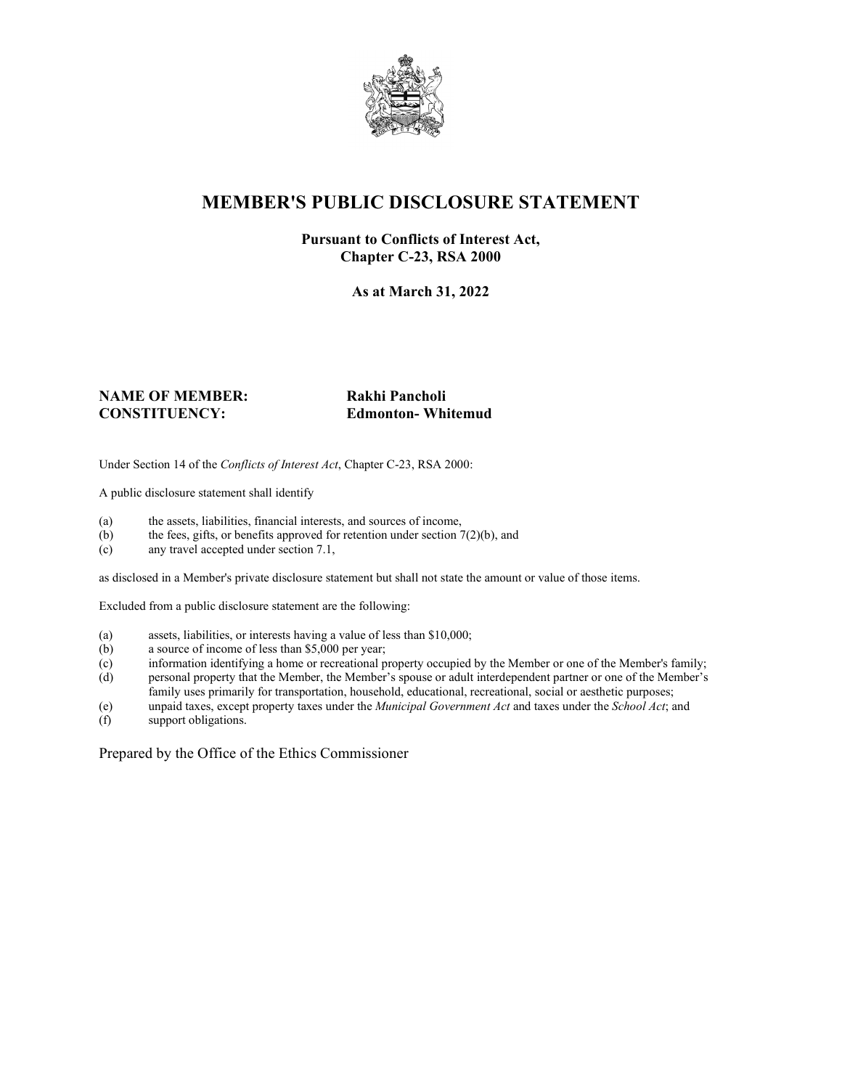

# **MEMBER'S PUBLIC DISCLOSURE STATEMENT**

#### **Pursuant to Conflicts of Interest Act, Chapter C-23, RSA 2000**

**As at March 31, 2022**

#### **NAME OF MEMBER: Rakhi Pancholi CONSTITUENCY: Edmonton- Whitemud**

Under Section 14 of the *Conflicts of Interest Act*, Chapter C-23, RSA 2000:

A public disclosure statement shall identify

- (a) the assets, liabilities, financial interests, and sources of income,  $(b)$  the fees, gifts, or benefits approved for retention under section 7
- the fees, gifts, or benefits approved for retention under section  $7(2)(b)$ , and
- (c) any travel accepted under section 7.1,

as disclosed in a Member's private disclosure statement but shall not state the amount or value of those items.

Excluded from a public disclosure statement are the following:

- (a) assets, liabilities, or interests having a value of less than \$10,000;
- (b) a source of income of less than \$5,000 per year;
- (c) information identifying a home or recreational property occupied by the Member or one of the Member's family;
- (d) personal property that the Member, the Member's spouse or adult interdependent partner or one of the Member's family uses primarily for transportation, household, educational, recreational, social or aesthetic purposes;
- (e) unpaid taxes, except property taxes under the *Municipal Government Act* and taxes under the *School Act*; and
- (f) support obligations.

Prepared by the Office of the Ethics Commissioner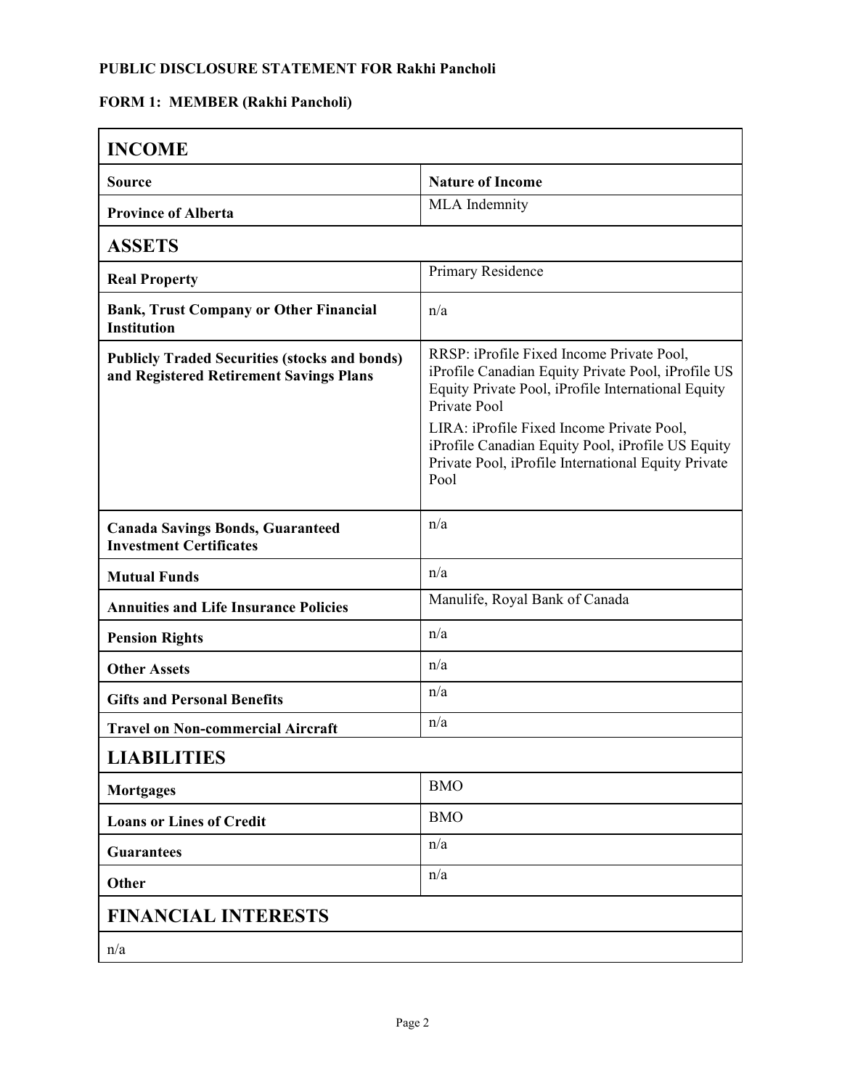## **PUBLIC DISCLOSURE STATEMENT FOR Rakhi Pancholi**

## **FORM 1: MEMBER (Rakhi Pancholi)**

| <b>INCOME</b>                                                                                   |                                                                                                                                                                                                                                                                                                                                        |
|-------------------------------------------------------------------------------------------------|----------------------------------------------------------------------------------------------------------------------------------------------------------------------------------------------------------------------------------------------------------------------------------------------------------------------------------------|
| <b>Source</b>                                                                                   | <b>Nature of Income</b>                                                                                                                                                                                                                                                                                                                |
| <b>Province of Alberta</b>                                                                      | MLA Indemnity                                                                                                                                                                                                                                                                                                                          |
| <b>ASSETS</b>                                                                                   |                                                                                                                                                                                                                                                                                                                                        |
| <b>Real Property</b>                                                                            | Primary Residence                                                                                                                                                                                                                                                                                                                      |
| <b>Bank, Trust Company or Other Financial</b><br><b>Institution</b>                             | n/a                                                                                                                                                                                                                                                                                                                                    |
| <b>Publicly Traded Securities (stocks and bonds)</b><br>and Registered Retirement Savings Plans | RRSP: iProfile Fixed Income Private Pool,<br>iProfile Canadian Equity Private Pool, iProfile US<br>Equity Private Pool, iProfile International Equity<br>Private Pool<br>LIRA: iProfile Fixed Income Private Pool,<br>iProfile Canadian Equity Pool, iProfile US Equity<br>Private Pool, iProfile International Equity Private<br>Pool |
| <b>Canada Savings Bonds, Guaranteed</b><br><b>Investment Certificates</b>                       | n/a                                                                                                                                                                                                                                                                                                                                    |
| <b>Mutual Funds</b>                                                                             | n/a                                                                                                                                                                                                                                                                                                                                    |
| <b>Annuities and Life Insurance Policies</b>                                                    | Manulife, Royal Bank of Canada                                                                                                                                                                                                                                                                                                         |
| <b>Pension Rights</b>                                                                           | n/a                                                                                                                                                                                                                                                                                                                                    |
| <b>Other Assets</b>                                                                             | n/a                                                                                                                                                                                                                                                                                                                                    |
| <b>Gifts and Personal Benefits</b>                                                              | n/a                                                                                                                                                                                                                                                                                                                                    |
| <b>Travel on Non-commercial Aircraft</b>                                                        | n/a                                                                                                                                                                                                                                                                                                                                    |
| <b>LIABILITIES</b>                                                                              |                                                                                                                                                                                                                                                                                                                                        |
| <b>Mortgages</b>                                                                                | <b>BMO</b>                                                                                                                                                                                                                                                                                                                             |
| <b>Loans or Lines of Credit</b>                                                                 | <b>BMO</b>                                                                                                                                                                                                                                                                                                                             |
| <b>Guarantees</b>                                                                               | n/a                                                                                                                                                                                                                                                                                                                                    |
| Other                                                                                           | n/a                                                                                                                                                                                                                                                                                                                                    |
| <b>FINANCIAL INTERESTS</b>                                                                      |                                                                                                                                                                                                                                                                                                                                        |
| n/a                                                                                             |                                                                                                                                                                                                                                                                                                                                        |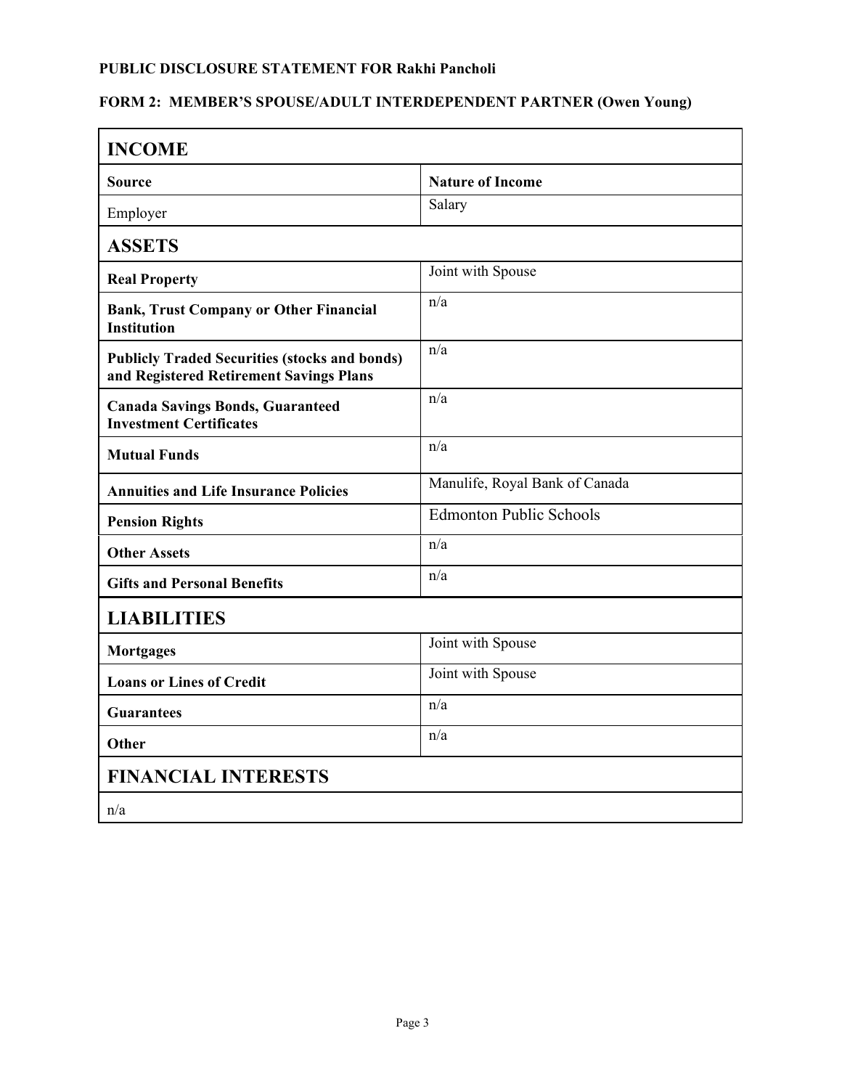#### **PUBLIC DISCLOSURE STATEMENT FOR Rakhi Pancholi**

## **FORM 2: MEMBER'S SPOUSE/ADULT INTERDEPENDENT PARTNER (Owen Young)**

| <b>INCOME</b>                                                                                   |                                |  |
|-------------------------------------------------------------------------------------------------|--------------------------------|--|
| Source                                                                                          | <b>Nature of Income</b>        |  |
| Employer                                                                                        | Salary                         |  |
| <b>ASSETS</b>                                                                                   |                                |  |
| <b>Real Property</b>                                                                            | Joint with Spouse              |  |
| <b>Bank, Trust Company or Other Financial</b><br><b>Institution</b>                             | n/a                            |  |
| <b>Publicly Traded Securities (stocks and bonds)</b><br>and Registered Retirement Savings Plans | n/a                            |  |
| <b>Canada Savings Bonds, Guaranteed</b><br><b>Investment Certificates</b>                       | n/a                            |  |
| <b>Mutual Funds</b>                                                                             | n/a                            |  |
| <b>Annuities and Life Insurance Policies</b>                                                    | Manulife, Royal Bank of Canada |  |
| <b>Pension Rights</b>                                                                           | <b>Edmonton Public Schools</b> |  |
| <b>Other Assets</b>                                                                             | n/a                            |  |
| <b>Gifts and Personal Benefits</b>                                                              | n/a                            |  |
| <b>LIABILITIES</b>                                                                              |                                |  |
| <b>Mortgages</b>                                                                                | Joint with Spouse              |  |
| <b>Loans or Lines of Credit</b>                                                                 | Joint with Spouse              |  |
| <b>Guarantees</b>                                                                               | n/a                            |  |
| Other                                                                                           | n/a                            |  |
| <b>FINANCIAL INTERESTS</b>                                                                      |                                |  |
| n/a                                                                                             |                                |  |